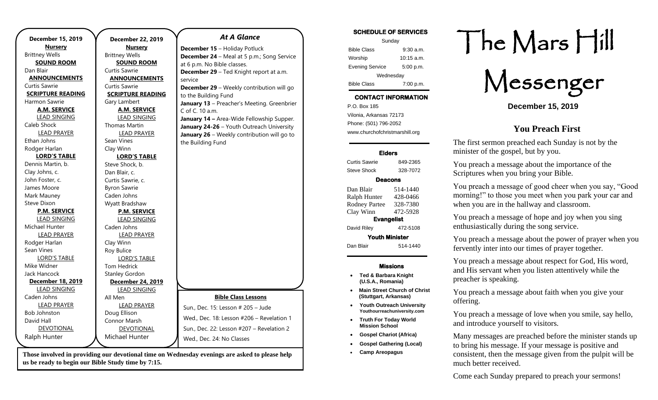| <b>December 15, 2019</b> | <b>December 22, 2019</b> |
|--------------------------|--------------------------|
| <b>Nursery</b>           | <b>Nursery</b>           |
| <b>Brittney Wells</b>    | <b>Brittney Wells</b>    |
| <b>SOUND ROOM</b>        | <b>SOUND ROOM</b>        |
| Dan Blair                | Curtis Sawrie            |
| <b>ANNOUNCEMENTS</b>     | <b>ANNOUNCEMENTS</b>     |
| Curtis Sawrie            | Curtis Sawrie            |
| <b>SCRIPTURE READING</b> | <b>SCRIPTURE READING</b> |
| Harmon Sawrie            | Gary Lambert             |
| <b>A.M. SERVICE</b>      | <b>A.M. SERVICE</b>      |
| <b>LEAD SINGING</b>      | <b>LEAD SINGING</b>      |
| Caleb Shock              | <b>Thomas Martin</b>     |
| <b>LEAD PRAYER</b>       | <b>LEAD PRAYER</b>       |
| Ethan Johns              | Sean Vines               |
| Rodger Harlan            | Clay Winn                |
| <b>LORD'S TABLE</b>      | <b>LORD'S TABLE</b>      |
| Dennis Martin, b.        | Steve Shock, b.          |
| Clay Johns, c.           | Dan Blair, c.            |
| John Foster, c.          | Curtis Sawrie, c.        |
| James Moore              | <b>Byron Sawrie</b>      |
| Mark Mauney              | Caden Johns              |
| Steve Dixon              | Wyatt Bradshaw           |
| <b>P.M. SERVICE</b>      | <b>P.M. SERVICE</b>      |
| <b>LEAD SINGING</b>      | <b>LEAD SINGING</b>      |
| Michael Hunter           | Caden Johns              |
| <b>LEAD PRAYER</b>       | <b>LEAD PRAYER</b>       |
| Rodger Harlan            | Clay Winn                |
| Sean Vines               | Roy Bulice               |
| <b>LORD'S TABLE</b>      | <b>LORD'S TABLE</b>      |
| Mike Widner              | <b>Tom Hedrick</b>       |
| Jack Hancock             | <b>Stanley Gordon</b>    |
| December 18, 2019        | December 24, 2019        |
| <b>LEAD SINGING</b>      | <b>LEAD SINGING</b>      |
| Caden Johns              | All Men                  |
| <b>LEAD PRAYER</b>       | <b>LEAD PRAYER</b>       |
| <b>Bob Johnston</b>      | Doug Ellison             |
| David Hall               | <b>Connor Marsh</b>      |
| <b>DEVOTIONAL</b>        | DEVOTIONAL               |
| Ralph Hunter             | Michael Hunter           |

**Those involved in providing our devotional time on Wednesday evenings are asked to please help us be ready to begin our Bible Study time by 7:15.** 

#### *At A Glance*

**December 15** – Holiday Potluck **December 24** – Meal at 5 p.m.; Song Service at 6 p.m. No Bible classes. **December 29** – Ted Knight report at a.m. service **December 29** – Weekly contribution will go to the Building Fund **January 13** – Preacher's Meeting. Greenbrier C of C. 10 a.m. **January 14 –** Area-Wide Fellowship Supper. **January 24-26** – Youth Outreach University **January 26** – Weekly contribution will go to the Building Fund

**Bible Class Lessons**

Wed., Dec. 18: Lesson #206 – Revelation 1 Sun., Dec. 22: Lesson #207 – Revelation 2

Sun., Dec. 15: Lesson # 205 – Jude

Wed., Dec. 24: No Classes

#### **SCHEDULE OF SERVICES**  Sunday Bible Class 9:30 a.m. Worship 10:15 a.m. Evening Service 5:00 p.m. Wednesday Bible Class 7:00 p.m. **CONTACT INFORMATION** . .o. Box 166<br>Vilonia, Arkansas 72173 P.O. Box 185 Phone: (501) 796-2052 www.churchofchristmarshill.org **Elders**  Curtis Sawrie 849-2365 Steve Shock 328-7072 **Deacons**  Dan Blair 514-1440 Ralph Hunter 428-0466 Rodney Partee 328-7380 Clay Winn 472-5928 **Evangelist**  David Riley 472-5108 **Youth Minister**  Dan Blair 514-1440 **Missions**  • **Ted & Barbara Knight**

- **(U.S.A., Romania)**
- **Main Street Church of Christ (Stuttgart, Arkansas)**
- **Youth Outreach University Youthourreachuniversity.com**
- **Truth For Today World Mission School**
- **Gospel Chariot (Africa)**
- **Gospel Gathering (Local)**
- **Camp Areopagus**

# The Mars Hill

Messenger

**December 15, 2019**

#### **You Preach First**

The first sermon preached each Sunday is not by the minister of the gospel, but by you.

You preach a message about the importance of the Scriptures when you bring your Bible.

You preach a message of good cheer when you say, "Good morning!" to those you meet when you park your car and when you are in the hallway and classroom.

You preach a message of hope and joy when you sing enthusiastically during the song service.

You preach a message about the power of prayer when you fervently inter into our times of prayer together.

You preach a message about respect for God, His word, and His servant when you listen attentively while the preacher is speaking.

You preach a message about faith when you give your offering.

You preach a message of love when you smile, say hello, and introduce yourself to visitors.

Many messages are preached before the minister stands up to bring his message. If your message is positive and consistent, then the message given from the pulpit will be much better received.

Come each Sunday prepared to preach your sermons!